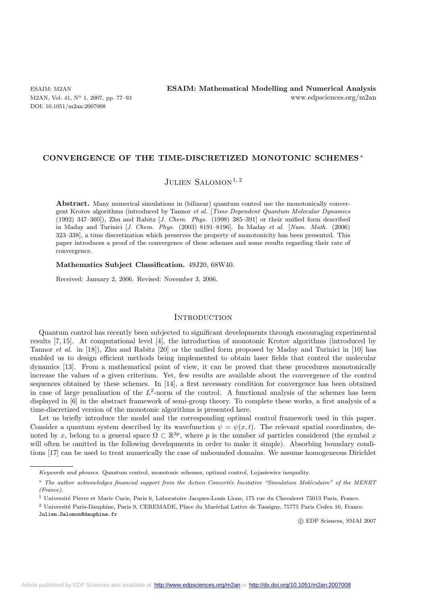DOI: 10.1051/m2an:2007008

#### **CONVERGENCE OF THE TIME-DISCRETIZED MONOTONIC SCHEMES**∗

# JULIEN SALOMON<sup>1, 2</sup>

**Abstract.** Many numerical simulations in (bilinear) quantum control use the monotonically convergent Krotov algorithms (introduced by Tannor *et al.* [*Time Dependent Quantum Molecular Dynamics* (1992) 347–360]), Zhu and Rabitz [*J. Chem. Phys.* (1998) 385–391] or their unified form described in Maday and Turinici [*J. Chem. Phys.* (2003) 8191–8196]. In Maday *et al.* [*Num. Math.* (2006) 323–338], a time discretization which preserves the property of monotonicity has been presented. This paper introduces a proof of the convergence of these schemes and some results regarding their rate of convergence.

# **Mathematics Subject Classification.** 49J20, 68W40.

Received: January 2, 2006. Revised: November 3, 2006.

#### **INTRODUCTION**

Quantum control has recently been subjected to significant developments through encouraging experimental results [7, 15]. At computational level [4], the introduction of monotonic Krotov algorithms (introduced by Tannor *et al.* in [18]), Zhu and Rabitz [20] or the unified form proposed by Maday and Turinici in [10] has enabled us to design efficient methods being implemented to obtain laser fields that control the molecular dynamics [13]. From a mathematical point of view, it can be proved that these procedures monotonically increase the values of a given criterium. Yet, few results are available about the convergence of the control sequences obtained by these schemes. In [14], a first necessary condition for convergence has been obtained in case of large penalization of the  $L^2$ -norm of the control. A functional analysis of the schemes has been displayed in [6] in the abstract framework of semi-group theory. To complete these works, a first analysis of a time-discretized version of the monotonic algorithms is presented here.

Let us briefly introduce the model and the corresponding optimal control framework used in this paper. Consider a quantum system described by its wavefunction  $\psi = \psi(x, t)$ . The relevant spatial coordinates, denoted by x, belong to a general space  $\Omega \subset \mathbb{R}^{3p}$ , where p is the number of particles considered (the symbol x will often be omitted in the following developments in order to make it simple). Absorbing boundary conditions [17] can be used to treat numerically the case of unbounded domains. We assume homogeneous Dirichlet

Julien.Salomon@dauphine.fr

-c EDP Sciences, SMAI 2007

*Keywords and phrases.* Quantum control, monotonic schemes, optimal control, Lojasiewicz inequality.

<sup>\*</sup> *The author acknowledges financial support from the Action Concertée Incitative "Simulation Moléculaire" of the MENRT (France).*

<sup>&</sup>lt;sup>1</sup> Université Pierre et Marie Curie, Paris 6, Laboratoire Jacques-Louis Lions, 175 rue du Chevaleret 75013 Paris, France.

<sup>&</sup>lt;sup>2</sup> Université Paris-Dauphine, Paris 9, CEREMADE, Place du Maréchal Lattre de Tassigny, 75775 Paris Cedex 16, France.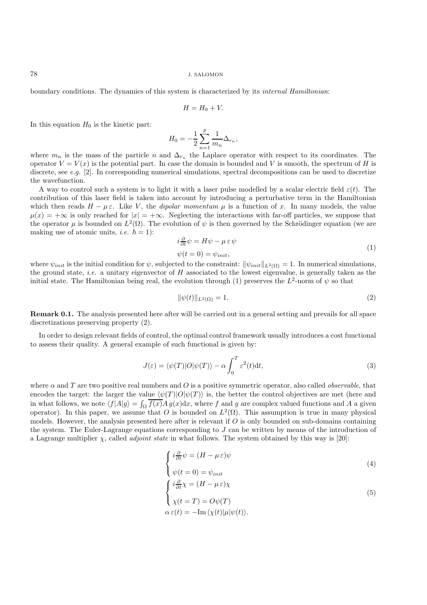boundary conditions. The dynamics of this system is characterized by its *internal Hamiltonian*:

$$
H = H_0 + V.
$$

In this equation  $H_0$  is the kinetic part:

$$
H_0 = -\frac{1}{2} \sum_{n=1}^{p} \frac{1}{m_n} \Delta_{r_n},
$$

where  $m_n$  is the mass of the particle n and  $\Delta_{r_n}$  the Laplace operator with respect to its coordinates. The operator  $V = V(x)$  is the potential part. In case the domain is bounded and V is smooth, the spectrum of H is discrete, see *e.g.* [2]. In corresponding numerical simulations, spectral decompositions can be used to discretize the wavefunction.

A way to control such a system is to light it with a laser pulse modelled by a scalar electric field  $\varepsilon(t)$ . The contribution of this laser field is taken into account by introducing a perturbative term in the Hamiltonian which then reads  $H - \mu \varepsilon$ . Like V, the *dipolar momentum*  $\mu$  is a function of x. In many models, the value  $\mu(x) = +\infty$  is only reached for  $|x| = +\infty$ . Neglecting the interactions with far-off particles, we suppose that the operator  $\mu$  is bounded on  $L^2(\Omega)$ . The evolution of  $\psi$  is then governed by the Schrödinger equation (we are making use of atomic units, *i.e.*  $\hbar = 1$ :

$$
i\frac{\partial}{\partial t}\psi = H\psi - \mu \,\varepsilon \,\psi \tag{1}
$$

$$
\psi(t=0) = \psi_{init},\tag{1}
$$

where  $\psi_{init}$  is the initial condition for  $\psi$ , subjected to the constraint:  $\|\psi_{init}\|_{L^2(\Omega)} = 1$ . In numerical simulations, the ground state, *i.e.* a unitary eigenvector of H associated to the lowest eigenvalue, is generally taken as the initial state. The Hamiltonian being real, the evolution through (1) preserves the  $L^2$ -norm of  $\psi$  so that

$$
\|\psi(t)\|_{L^2(\Omega)} = 1.
$$
\n(2)

**Remark 0.1.** The analysis presented here after will be carried out in a general setting and prevails for all space discretizations preserving property (2).

In order to design relevant fields of control, the optimal control framework usually introduces a cost functional to assess their quality. A general example of such functional is given by:

$$
J(\varepsilon) = \langle \psi(T) | O | \psi(T) \rangle - \alpha \int_0^T \varepsilon^2(t) \mathrm{d}t,\tag{3}
$$

where  $\alpha$  and  $T$  are two positive real numbers and  $\overline{O}$  is a positive symmetric operator, also called *observable*, that encodes the target: the larger the value  $\langle \psi(T) | O | \psi(T) \rangle$  is, the better the control objectives are met (here and in what follows, we note  $\langle f|A|g\rangle = \int_{\Omega} \overline{f(x)}A g(x)dx$ , where f and g are complex valued functions and A a given operator). In this paper, we assume that O is bounded on  $L^2(\Omega)$ . This assumption is true in many physical models. However, the analysis presented here after is relevant if O is only bounded on sub-domains containing the system. The Euler-Lagrange equations corresponding to  $J$  can be written by means of the introduction of a Lagrange multiplier χ, called *adjoint state* in what follows. The system obtained by this way is [20]:

$$
\begin{cases}\ni\frac{\partial}{\partial t}\psi = (H - \mu \varepsilon)\psi \\
\psi(t = 0) = \psi_{init}\n\end{cases} \tag{4}
$$

$$
\begin{cases}\ni\frac{\partial}{\partial t}\chi = (H - \mu \varepsilon)\chi \\
\chi(t = T) = O\psi(T) \\
\alpha \varepsilon(t) = -\text{Im}\langle\chi(t)|\mu|\psi(t)\rangle.\n\end{cases}
$$
\n(5)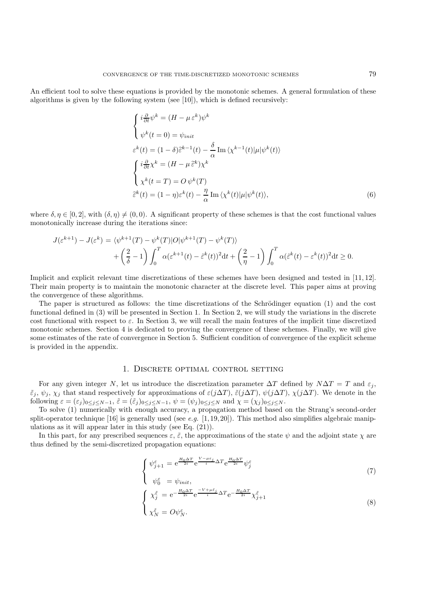An efficient tool to solve these equations is provided by the monotonic schemes. A general formulation of these algorithms is given by the following system (see [10]), which is defined recursively:

$$
\begin{cases}\ni\frac{\partial}{\partial t}\psi^k = (H - \mu \varepsilon^k)\psi^k \\
\psi^k(t = 0) = \psi_{init} \\
\varepsilon^k(t) = (1 - \delta)\tilde{\varepsilon}^{k-1}(t) - \frac{\delta}{\alpha}\operatorname{Im}\langle\chi^{k-1}(t)|\mu|\psi^k(t)\rangle \\
\int i\frac{\partial}{\partial t}\chi^k = (H - \mu \tilde{\varepsilon}^k)\chi^k \\
\chi^k(t = T) = O\psi^k(T) \\
\tilde{\varepsilon}^k(t) = (1 - \eta)\varepsilon^k(t) - \frac{\eta}{\alpha}\operatorname{Im}\langle\chi^k(t)|\mu|\psi^k(t)\rangle,\n\end{cases}
$$
\n(6)

where  $\delta, \eta \in [0, 2]$ , with  $(\delta, \eta) \neq (0, 0)$ . A significant property of these schemes is that the cost functional values monotonically increase during the iterations since:

$$
J(\varepsilon^{k+1}) - J(\varepsilon^k) = \langle \psi^{k+1}(T) - \psi^k(T) | O | \psi^{k+1}(T) - \psi^k(T) \rangle
$$
  
+ 
$$
\left(\frac{2}{\delta} - 1\right) \int_0^T \alpha(\varepsilon^{k+1}(t) - \tilde{\varepsilon}^k(t))^2 dt + \left(\frac{2}{\eta} - 1\right) \int_0^T \alpha(\tilde{\varepsilon}^k(t) - \varepsilon^k(t))^2 dt \ge 0.
$$

Implicit and explicit relevant time discretizations of these schemes have been designed and tested in [11, 12]. Their main property is to maintain the monotonic character at the discrete level. This paper aims at proving the convergence of these algorithms.

The paper is structured as follows: the time discretizations of the Schrödinger equation (1) and the cost functional defined in (3) will be presented in Section 1. In Section 2, we will study the variations in the discrete cost functional with respect to  $\varepsilon$ . In Section 3, we will recall the main features of the implicit time discretized monotonic schemes. Section 4 is dedicated to proving the convergence of these schemes. Finally, we will give some estimates of the rate of convergence in Section 5. Sufficient condition of convergence of the explicit scheme is provided in the appendix.

#### 1. Discrete optimal control setting

For any given integer N, let us introduce the discretization parameter  $\Delta T$  defined by  $N\Delta T = T$  and  $\varepsilon_i$ ,  $\varepsilon_j$ ,  $\psi_j$ ,  $\chi_j$  that stand respectively for approximations of  $\varepsilon(j\Delta T)$ ,  $\varepsilon(j\Delta T)$ ,  $\psi(j\Delta T)$ ,  $\chi(j\Delta T)$ . We denote in the following  $\varepsilon = (\varepsilon_j)_{0 \leq j \leq N-1}$ ,  $\tilde{\varepsilon} = (\tilde{\varepsilon}_j)_{0 \leq j \leq N-1}$ ,  $\psi = (\psi_j)_{0 \leq j \leq N}$  and  $\chi = (\chi_j)_{0 \leq j \leq N}$ .

To solve (1) numerically with enough accuracy, a propagation method based on the Strang's second-order split-operator technique [16] is generally used (see *e.g.* [1,19,20]). This method also simplifies algebraic manipulations as it will appear later in this study (see Eq. (21)).

In this part, for any prescribed sequences  $\varepsilon$ ,  $\tilde{\varepsilon}$ , the approximations of the state  $\psi$  and the adjoint state  $\chi$  are thus defined by the semi-discretized propagation equations:

$$
\begin{cases} \psi_{j+1}^{\varepsilon} = e^{\frac{H_0 \Delta T}{2i}} e^{\frac{V - \mu \varepsilon_j}{i} \Delta T} e^{\frac{H_0 \Delta T}{2i}} \psi_j^{\varepsilon} \end{cases} \tag{7}
$$

$$
\begin{cases}\n\psi_0^{\varepsilon} = \psi_{init}, \\
\chi_j^{\tilde{\varepsilon}} = e^{-\frac{H_0 \Delta T}{2i}} e^{-\frac{V + \mu \tilde{\varepsilon}_j}{i} \Delta T} e^{-\frac{H_0 \Delta T}{2i}} \chi_{j+1}^{\tilde{\varepsilon}} \\
\chi_N^{\tilde{\varepsilon}} = O \psi_N^{\varepsilon}.\n\end{cases}
$$
\n(8)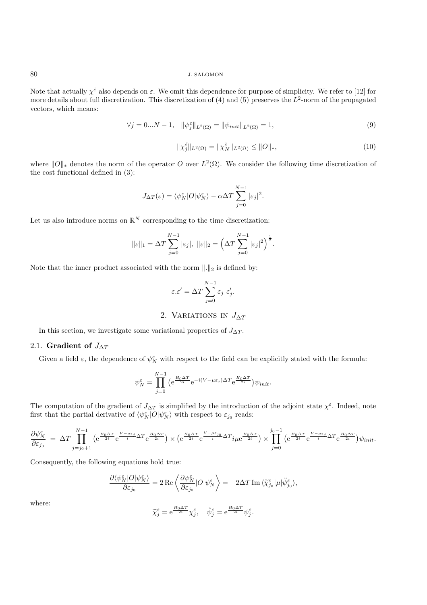Note that actually  $\chi^{\tilde{\varepsilon}}$  also depends on  $\varepsilon$ . We omit this dependence for purpose of simplicity. We refer to [12] for more details about full discretization. This discretization of (4) and (5) preserves the  $L^2$ -norm of the propagated vectors, which means:

$$
\forall j = 0...N - 1, \quad \|\psi_j^{\varepsilon}\|_{L^2(\Omega)} = \|\psi_{init}\|_{L^2(\Omega)} = 1,
$$
\n(9)

$$
\|\chi_j^{\tilde{\varepsilon}}\|_{L^2(\Omega)} = \|\chi_N^{\tilde{\varepsilon}}\|_{L^2(\Omega)} \le \|O\|_*,
$$
\n(10)

where  $||O||_*$  denotes the norm of the operator O over  $L^2(\Omega)$ . We consider the following time discretization of the cost functional defined in (3):

$$
J_{\Delta T}(\varepsilon) = \langle \psi_N^{\varepsilon} | O | \psi_N^{\varepsilon} \rangle - \alpha \Delta T \sum_{j=0}^{N-1} |\varepsilon_j|^2.
$$

Let us also introduce norms on  $\mathbb{R}^N$  corresponding to the time discretization:

$$
\|\varepsilon\|_{1} = \Delta T \sum_{j=0}^{N-1} |\varepsilon_{j}|, \ \|\varepsilon\|_{2} = \left(\Delta T \sum_{j=0}^{N-1} |\varepsilon_{j}|^{2}\right)^{\frac{1}{2}}.
$$

Note that the inner product associated with the norm  $\|.\|_2$  is defined by:

$$
\varepsilon.\varepsilon' = \Delta T \sum_{j=0}^{N-1} \varepsilon_j \varepsilon'_j.
$$

2. VARIATIONS IN  $J_{\Delta T}$ 

In this section, we investigate some variational properties of  $J_{\Delta T}$ .

## 2.1. **Gradient of**  $J_{\Delta T}$

Given a field  $\varepsilon$ , the dependence of  $\psi_N^{\varepsilon}$  with respect to the field can be explicitly stated with the formula:

$$
\psi_N^{\varepsilon} = \prod_{j=0}^{N-1} \left( e^{\frac{H_0 \Delta T}{2i}} e^{-i(V - \mu \varepsilon_j) \Delta T} e^{\frac{H_0 \Delta T}{2i}} \right) \psi_{init}.
$$

The computation of the gradient of  $J_{\Delta T}$  is simplified by the introduction of the adjoint state  $\chi^{\varepsilon}$ . Indeed, note first that the partial derivative of  $\langle \psi_N^{\varepsilon} | O | \psi_N^{\varepsilon} \rangle$  with respect to  $\varepsilon_{j_0}$  reads:

$$
\frac{\partial \psi^{\varepsilon}_{N}}{\partial \varepsilon_{j_{0}}} = \Delta T \prod_{j=j_{0}+1}^{N-1} \left( e^{\frac{H_{0}\Delta T}{2i}} e^{\frac{V-\mu\varepsilon_{j}}{i}\Delta T} e^{\frac{H_{0}\Delta T}{2i}} \right) \times \left( e^{\frac{H_{0}\Delta T}{2i}} e^{\frac{V-\mu\varepsilon_{j_{0}}}{i}\Delta T} i\mu e^{\frac{H_{0}\Delta T}{2i}} \right) \times \prod_{j=0}^{j_{0}-1} \left( e^{\frac{H_{0}\Delta T}{2i}} e^{\frac{V-\mu\varepsilon_{j}}{i}\Delta T} e^{\frac{H_{0}\Delta T}{2i}} \right) \psi_{init}.
$$

Consequently, the following equations hold true:

$$
\frac{\partial \langle \psi^\varepsilon_N | O | \psi^\varepsilon_N \rangle}{\partial \varepsilon_{j_0}} = 2 \operatorname{Re} \left\langle \frac{\partial \psi^\varepsilon_N}{\partial \varepsilon_{j_0}} | O | \psi^\varepsilon_N \right\rangle = - 2 \Delta T \operatorname{Im} \langle \widetilde{\chi}^\varepsilon_{j_0} | \mu | \breve{\psi}^\varepsilon_{j_0} \rangle,
$$

where:

$$
\widetilde{\chi}^\varepsilon_j=\mathrm{e}^{\frac{H_0\Delta T}{2i}}\chi^\varepsilon_j,\quad \breve{\psi}^\varepsilon_j=\mathrm{e}^{\frac{H_0\Delta T}{2i}}\psi^\varepsilon_j.
$$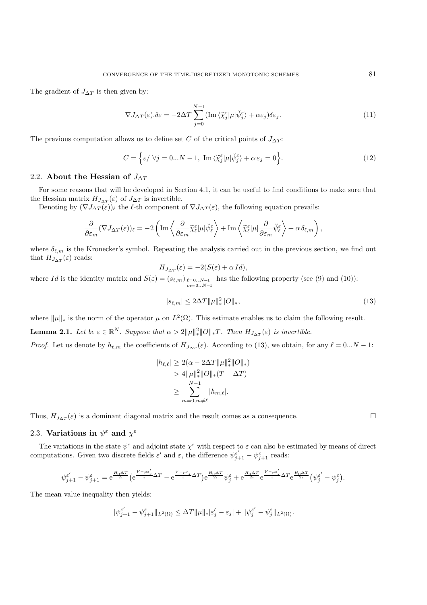The gradient of  $J_{\Delta T}$  is then given by:

$$
\nabla J_{\Delta T}(\varepsilon) . \delta \varepsilon = -2\Delta T \sum_{j=0}^{N-1} (\text{Im}\,\langle \widetilde{\chi}_j^{\varepsilon} | \mu | \breve{\psi}_j^{\varepsilon} \rangle + \alpha \varepsilon_j) \delta \varepsilon_j.
$$
 (11)

The previous computation allows us to define set C of the critical points of  $J_{\Delta T}$ :

$$
C = \left\{ \varepsilon / \ \forall j = 0...N - 1, \ \operatorname{Im} \langle \widetilde{\chi}_{j}^{\varepsilon} | \mu | \check{\psi}_{j}^{\varepsilon} \rangle + \alpha \, \varepsilon_{j} = 0 \right\}. \tag{12}
$$

#### 2.2. **About the Hessian of**  $J_{\Delta T}$

For some reasons that will be developed in Section 4.1, it can be useful to find conditions to make sure that the Hessian matrix  $H_{J_{\Delta T}}(\varepsilon)$  of  $J_{\Delta T}$  is invertible.

Denoting by  $(\nabla J_{\Delta T}(\varepsilon))_\ell$  the  $\ell$ -th component of  $\nabla J_{\Delta T}(\varepsilon)$ , the following equation prevails:

$$
\frac{\partial}{\partial\varepsilon_m}(\nabla J_{\Delta T}(\varepsilon))_{\ell}=-2\left(\text{Im}\left\langle\frac{\partial}{\partial\varepsilon_m}\widetilde{\chi}_{\ell}^{\varepsilon}|\mu|\check{\psi}_{\ell}^{\varepsilon}\right\rangle+\text{Im}\left\langle\widetilde{\chi}_{\ell}^{\varepsilon}|\mu|\frac{\partial}{\partial\varepsilon_m}\check{\psi}_{\ell}^{\varepsilon}\right\rangle+\alpha\,\delta_{\ell,m}\right),
$$

where  $\delta_{\ell,m}$  is the Kronecker's symbol. Repeating the analysis carried out in the previous section, we find out that  $H_{J_{\Delta T}}(\varepsilon)$  reads:

$$
H_{J_{\Delta T}}(\varepsilon) = -2(S(\varepsilon) + \alpha Id),
$$

where Id is the identity matrix and  $S(\varepsilon)=(s_{\ell,m})_{\ell=0...N-1}$ <br>m=0...N-1 has the following property (see (9) and (10)):

$$
|s_{\ell,m}| \le 2\Delta T \|\mu\|_*^2 \|O\|_*,\tag{13}
$$

where  $\|\mu\|_*$  is the norm of the operator  $\mu$  on  $L^2(\Omega)$ . This estimate enables us to claim the following result.

**Lemma 2.1.** Let be  $\varepsilon \in \mathbb{R}^N$ . Suppose that  $\alpha > 2||\mu||_*^2||O||_*T$ . Then  $H_{J_{\Delta T}}(\varepsilon)$  is invertible.

*Proof.* Let us denote by  $h_{\ell,m}$  the coefficients of  $H_{J_{\Delta T}}(\varepsilon)$ . According to (13), we obtain, for any  $\ell = 0...N - 1$ :

$$
|h_{\ell,\ell}| \ge 2(\alpha - 2\Delta T \|\mu\|_{\ast}^2 \|O\|_{\ast})
$$
  
> 4
$$
\|\mu\|_{\ast}^2 \|O\|_{\ast} (T - \Delta T)
$$
  

$$
\ge \sum_{m=0,m\ne\ell}^{N-1} |h_{m,\ell}|.
$$

Thus,  $H_{J_{\Delta T}}(\varepsilon)$  is a dominant diagonal matrix and the result comes as a consequence.

#### 2.3. **Variations in**  $\psi^{\varepsilon}$  and  $\chi^{\varepsilon}$

The variations in the state  $\psi^{\varepsilon}$  and adjoint state  $\chi^{\varepsilon}$  with respect to  $\varepsilon$  can also be estimated by means of direct computations. Given two discrete fields  $\varepsilon'$  and  $\varepsilon$ , the difference  $\psi_{j+1}^{\varepsilon'} - \psi_{j+1}^{\varepsilon}$  reads:

$$
\psi_{j+1}^{\varepsilon'} - \psi_{j+1}^{\varepsilon} = e^{\frac{H_0 \Delta T}{2i}} \left( e^{\frac{V - \mu \varepsilon'_j}{i} \Delta T} - e^{\frac{V - \mu \varepsilon_j}{i} \Delta T} \right) e^{\frac{H_0 \Delta T}{2i}} \psi_j^{\varepsilon} + e^{\frac{H_0 \Delta T}{2i}} e^{\frac{V - \mu \varepsilon'_j}{i} \Delta T} e^{\frac{H_0 \Delta T}{2i}} \left( \psi_j^{\varepsilon'} - \psi_j^{\varepsilon} \right).
$$

The mean value inequality then yields:

$$
\|\psi_{j+1}^{\varepsilon'} - \psi_{j+1}^{\varepsilon}\|_{L^2(\Omega)} \le \Delta T \|\mu\|_* |\varepsilon'_j - \varepsilon_j| + \|\psi_j^{\varepsilon'} - \psi_j^{\varepsilon}\|_{L^2(\Omega)}.
$$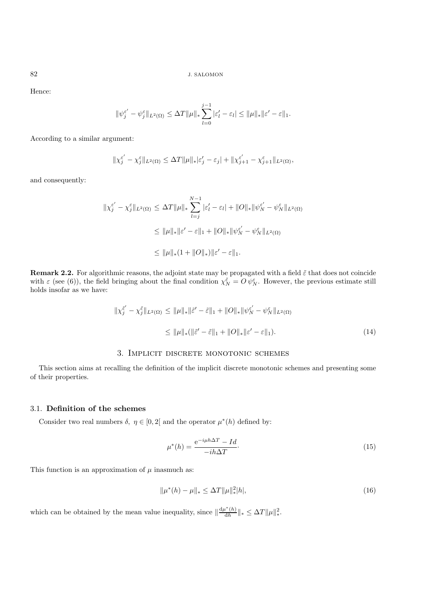Hence:

$$
\|\psi_j^{\varepsilon'} - \psi_j^{\varepsilon}\|_{L^2(\Omega)} \le \Delta T \|\mu\|_{*} \sum_{l=0}^{j-1} |\varepsilon'_l - \varepsilon_l| \le \|\mu\|_{*} \|\varepsilon' - \varepsilon\|_{1}.
$$

According to a similar argument:

$$
\|\chi_j^{\varepsilon'}-\chi_j^{\varepsilon}\|_{L^2(\Omega)}\leq \Delta T \|\mu\|_*|\varepsilon_j'-\varepsilon_j|+\|\chi_{j+1}^{\varepsilon'}-\chi_{j+1}^{\varepsilon}\|_{L^2(\Omega)},
$$

and consequently:

$$
\begin{aligned} \|\chi_j^{\varepsilon'} - \chi_j^{\varepsilon}\|_{L^2(\Omega)} &\leq \Delta T \|\mu\|_{*} \sum_{l=j}^{N-1} |\varepsilon'_l - \varepsilon_l| + \|O\|_{*} \|\psi_N^{\varepsilon'} - \psi_N^{\varepsilon}\|_{L^2(\Omega)} \\ &\leq \|\mu\|_{*} \|\varepsilon' - \varepsilon\|_{1} + \|O\|_{*} \|\psi_N^{\varepsilon'} - \psi_N^{\varepsilon}\|_{L^2(\Omega)} \\ &\leq \|\mu\|_{*} (1 + \|O\|_{*}) \|\varepsilon' - \varepsilon\|_{1}. \end{aligned}
$$

**Remark 2.2.** For algorithmic reasons, the adjoint state may be propagated with a field  $\tilde{\varepsilon}$  that does not coincide with  $\varepsilon$  (see (6)), the field bringing about the final condition  $\chi_N^{\tilde{\varepsilon}} = O \psi_N^{\varepsilon}$ . However, the previous estimate still holds insofar as we have:

$$
\|\chi_{j}^{\tilde{\varepsilon}'} - \chi_{j}^{\tilde{\varepsilon}}\|_{L^{2}(\Omega)} \leq \|\mu\|_{*}\|\tilde{\varepsilon}' - \tilde{\varepsilon}\|_{1} + \|O\|_{*}\|\psi_{N}^{\varepsilon'} - \psi_{N}^{\varepsilon}\|_{L^{2}(\Omega)}
$$
  

$$
\leq \|\mu\|_{*}(\|\tilde{\varepsilon}' - \tilde{\varepsilon}\|_{1} + \|O\|_{*}\|\varepsilon' - \varepsilon\|_{1}). \tag{14}
$$

# 3. Implicit discrete monotonic schemes

This section aims at recalling the definition of the implicit discrete monotonic schemes and presenting some of their properties.

## 3.1. **Definition of the schemes**

Consider two real numbers  $\delta, \eta \in [0, 2]$  and the operator  $\mu^*(h)$  defined by:

$$
\mu^*(h) = \frac{e^{-i\mu h \Delta T} - Id}{-ih\Delta T}.
$$
\n(15)

This function is an approximation of  $\mu$  inasmuch as:

$$
\|\mu^*(h) - \mu\|_{*} \le \Delta T \|\mu\|_{*}^2 |h|,\tag{16}
$$

which can be obtained by the mean value inequality, since  $\|\frac{d\mu^*(h)}{dh}\|_* \leq \Delta T \|\mu\|_*^2$ .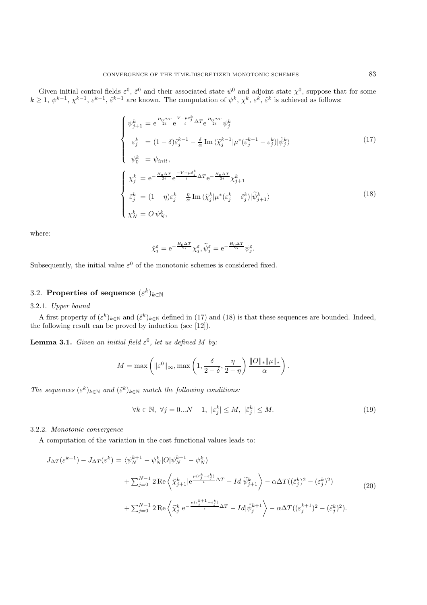Given initial control fields  $\varepsilon^0$ ,  $\tilde{\varepsilon}^0$  and their associated state  $\psi^0$  and adjoint state  $\chi^0$ , suppose that for some  $k \geq 1, \psi^{k-1}, \chi^{k-1}, \varepsilon^{k-1}, \tilde{\varepsilon}^{k-1}$  are known. The computation of  $\psi^k, \chi^k, \varepsilon^k, \tilde{\varepsilon}^k$  is achieved as follows:

$$
\begin{cases}\n\psi_{j+1}^{k} = e^{\frac{H_{0}\Delta T}{2i}} e^{\frac{V-\mu\varepsilon_{j}^{k}}{i}\Delta T} e^{\frac{H_{0}\Delta T}{2i}} \psi_{j}^{k} \\
\varepsilon_{j}^{k} = (1-\delta)\tilde{\varepsilon}_{j}^{k-1} - \frac{\delta}{\alpha} \operatorname{Im} \langle \tilde{\chi}_{j}^{k-1} | \mu^{*}(\tilde{\varepsilon}_{j}^{k-1} - \varepsilon_{j}^{k}) | \psi_{j}^{k} \rangle \\
\psi_{0}^{k} = \psi_{init},\n\end{cases}
$$
\n(17)

$$
\begin{cases}\n\chi_j^k = e^{-\frac{H_0 \Delta T}{2i}} e^{\frac{-V + \mu \bar{\varepsilon}_j^k}{i} \Delta T} e^{-\frac{H_0 \Delta T}{2i}} \chi_{j+1}^k \\
\hat{\varepsilon}_j^k = (1 - \eta) \varepsilon_j^k - \frac{\eta}{\alpha} \operatorname{Im} \langle \tilde{\chi}_j^k | \mu^* (\varepsilon_j^k - \tilde{\varepsilon}_j^k) | \tilde{\psi}_{j+1}^k \rangle \\
\chi_N^k = O \psi_N^k,\n\end{cases}
$$
\n(18)

where:

$$
\tilde{\chi}_{j}^{\varepsilon} = e^{-\frac{H_{0}\Delta T}{2i}} \chi_{j}^{\varepsilon}, \tilde{\psi}_{j}^{\varepsilon} = e^{-\frac{H_{0}\Delta T}{2i}} \psi_{j}^{\varepsilon}.
$$

Subsequently, the initial value  $\varepsilon^0$  of the monotonic schemes is considered fixed.

# 3.2. **Properties of sequence**  $(\varepsilon^k)_{k \in \mathbb{N}}$

# 3.2.1. *Upper bound*

A first property of  $(\varepsilon^k)_{k\in\mathbb{N}}$  and  $(\tilde{\varepsilon}^k)_{k\in\mathbb{N}}$  defined in (17) and (18) is that these sequences are bounded. Indeed, the following result can be proved by induction (see [12]).

**Lemma 3.1.** *Given an initial field*  $\varepsilon^0$ *, let us defined* M *by:* 

$$
M = \max\left(\|\varepsilon^0\|_{\infty}, \max\left(1, \frac{\delta}{2-\delta}, \frac{\eta}{2-\eta}\right) \frac{\|O\|_{*} \|\mu\|_{*}}{\alpha}\right).
$$

*The sequences*  $(\varepsilon^k)_{k \in \mathbb{N}}$  *and*  $(\tilde{\varepsilon}^k)_{k \in \mathbb{N}}$  *match the following conditions:* 

$$
\forall k \in \mathbb{N}, \ \forall j = 0...N - 1, \ |\varepsilon_j^k| \le M, \ |\tilde{\varepsilon}_j^k| \le M. \tag{19}
$$

#### 3.2.2. *Monotonic convergence*

A computation of the variation in the cost functional values leads to:

$$
J_{\Delta T}(\varepsilon^{k+1}) - J_{\Delta T}(\varepsilon^k) = \langle \psi_N^{k+1} - \psi_N^k | O | \psi_N^{k+1} - \psi_N^k \rangle
$$
  
+ 
$$
\sum_{j=0}^{N-1} 2 \operatorname{Re} \left\langle \chi_{j+1}^k | e^{\frac{\mu(\varepsilon_j^k - \varepsilon_j^k)}{i} \Delta T} - Id | \widetilde{\psi}_{j+1}^k \right\rangle - \alpha \Delta T ((\tilde{\varepsilon}_j^k)^2 - (\varepsilon_j^k)^2)
$$
  
+ 
$$
\sum_{j=0}^{N-1} 2 \operatorname{Re} \left\langle \widetilde{\chi}_j^k | e^{-\frac{\mu(\varepsilon_j^{k+1} - \varepsilon_j^k)}{i} \Delta T} - Id | \psi_j^{k+1} \right\rangle - \alpha \Delta T ((\varepsilon_j^{k+1})^2 - (\tilde{\varepsilon}_j^k)^2).
$$
 (20)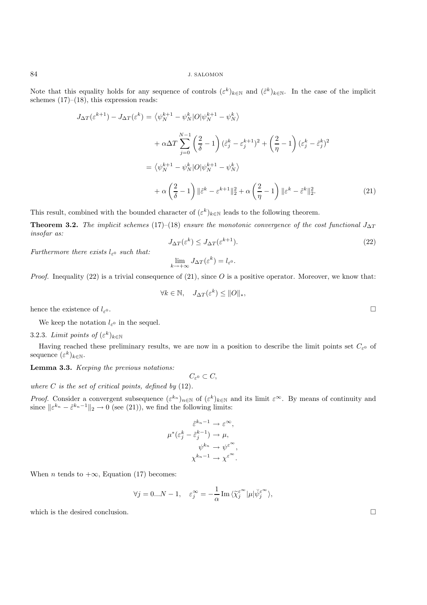Note that this equality holds for any sequence of controls  $(\varepsilon^k)_{k\in\mathbb{N}}$  and  $(\tilde{\varepsilon}^k)_{k\in\mathbb{N}}$ . In the case of the implicit schemes  $(17)–(18)$ , this expression reads:

$$
J_{\Delta T}(\varepsilon^{k+1}) - J_{\Delta T}(\varepsilon^k) = \left\langle \psi_N^{k+1} - \psi_N^k \right| O | \psi_N^{k+1} - \psi_N^k \rangle
$$
  
+  $\alpha \Delta T \sum_{j=0}^{N-1} \left( \frac{2}{\delta} - 1 \right) (\varepsilon_j^k - \varepsilon_j^{k+1})^2 + \left( \frac{2}{\eta} - 1 \right) (\varepsilon_j^k - \tilde{\varepsilon}_j^k)^2$   
=  $\left\langle \psi_N^{k+1} - \psi_N^k \right| O | \psi_N^{k+1} - \psi_N^k \rangle$   
+  $\alpha \left( \frac{2}{\delta} - 1 \right) || \tilde{\varepsilon}^k - \varepsilon^{k+1} ||_2^2 + \alpha \left( \frac{2}{\eta} - 1 \right) || \varepsilon^k - \tilde{\varepsilon}^k ||_2^2.$  (21)

This result, combined with the bounded character of  $(\varepsilon^k)_{k\in\mathbb{N}}$  leads to the following theorem.

**Theorem 3.2.** *The implicit schemes* (17)–(18) *ensure the monotonic convergence of the cost functional*  $J_{\Delta T}$ *insofar as:*

$$
J_{\Delta T}(\varepsilon^k) \le J_{\Delta T}(\varepsilon^{k+1}).\tag{22}
$$

*Furthermore there exists*  $l_{\varepsilon}$  *such that:* 

$$
\lim_{k \to +\infty} J_{\Delta T}(\varepsilon^k) = l_{\varepsilon^0}.
$$

*Proof.* Inequality (22) is a trivial consequence of (21), since  $O$  is a positive operator. Moreover, we know that:

$$
\forall k \in \mathbb{N}, \quad J_{\Delta T}(\varepsilon^k) \leq ||O||_*,
$$

hence the existence of  $l_{\varepsilon}$ <sup>0</sup>.

We keep the notation  $l_{\varepsilon}$ <sup>0</sup> in the sequel.

# 3.2.3. *Limit points of*  $(\varepsilon^k)_{k \in \mathbb{N}}$

Having reached these preliminary results, we are now in a position to describe the limit points set  $C_{\varepsilon}$ <sup>0</sup> of sequence  $(\varepsilon^k)_{k\in\mathbb{N}}$ .

**Lemma 3.3.** *Keeping the previous notations:*

 $C_{\varepsilon^0} \subset C$ ,

*where* C *is the set of critical points, defined by* (12)*.*

*Proof.* Consider a convergent subsequence  $(\varepsilon^{k_n})_{n\in\mathbb{N}}$  of  $(\varepsilon^k)_{k\in\mathbb{N}}$  and its limit  $\varepsilon^\infty$ . By means of continuity and since  $\|\varepsilon^{k_n} - \tilde{\varepsilon}^{k_n-1}\|_2 \to 0$  (see (21)), we find the following limits:

$$
\tilde{\varepsilon}^{k_n - 1} \to \varepsilon^{\infty},
$$

$$
\mu^*(\varepsilon_j^k - \tilde{\varepsilon}_j^{k-1}) \to \mu,
$$

$$
\psi^{k_n} \to \psi^{\varepsilon^{\infty}},
$$

$$
\chi^{k_n - 1} \to \chi^{\varepsilon^{\infty}}.
$$

When *n* tends to  $+\infty$ , Equation (17) becomes:

$$
\forall j = 0...N - 1, \quad \varepsilon_j^{\infty} = -\frac{1}{\alpha} \operatorname{Im} \langle \widetilde{\chi}_j^{\varepsilon^{\infty}} | \mu | \breve{\psi}_j^{\varepsilon^{\infty}} \rangle,
$$

which is the desired conclusion.  $\Box$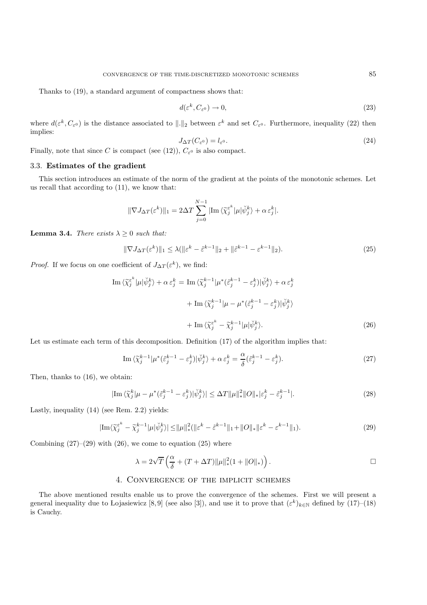Thanks to (19), a standard argument of compactness shows that:

$$
d(\varepsilon^k, C_{\varepsilon^0}) \to 0,\tag{23}
$$

where  $d(\varepsilon^k, C_{\varepsilon^0})$  is the distance associated to  $||.||_2$  between  $\varepsilon^k$  and set  $C_{\varepsilon^0}$ . Furthermore, inequality (22) then implies:

$$
J_{\Delta T}(C_{\varepsilon^0}) = l_{\varepsilon^0}.\tag{24}
$$

Finally, note that since C is compact (see (12)),  $C_{\varepsilon}$  is also compact.

#### 3.3. **Estimates of the gradient**

This section introduces an estimate of the norm of the gradient at the points of the monotonic schemes. Let us recall that according to (11), we know that:

$$
\|\nabla J_{\Delta T}(\varepsilon^k)\|_1 = 2\Delta T \sum_{j=0}^{N-1} |\text{Im}\left\langle \widetilde{\chi}_j^{\varepsilon^k}|\mu|\check{\psi}_j^k \right\rangle + \alpha \,\varepsilon_j^k|.
$$

**Lemma 3.4.** *There exists*  $\lambda > 0$  *such that:* 

$$
\|\nabla J_{\Delta T}(\varepsilon^k)\|_1 \le \lambda (\|\varepsilon^k - \tilde{\varepsilon}^{k-1}\|_2 + \|\tilde{\varepsilon}^{k-1} - \varepsilon^{k-1}\|_2). \tag{25}
$$

*Proof.* If we focus on one coefficient of  $J_{\Delta T}(\varepsilon^k)$ , we find:

$$
\operatorname{Im}\left\langle \widetilde{\chi}_{j}^{\varepsilon^{k}}|\mu|\breve{\psi}_{j}^{k}\right\rangle + \alpha \varepsilon_{j}^{k} = \operatorname{Im}\left\langle \widetilde{\chi}_{j}^{k-1}|\mu^{*}(\widetilde{\varepsilon}_{j}^{k-1} - \varepsilon_{j}^{k})|\breve{\psi}_{j}^{k}\right\rangle + \alpha \varepsilon_{j}^{k}
$$

$$
+ \operatorname{Im}\left\langle \widetilde{\chi}_{j}^{k-1}|\mu - \mu^{*}(\widetilde{\varepsilon}_{j}^{k-1} - \varepsilon_{j}^{k})|\breve{\psi}_{j}^{k}\right\rangle
$$

$$
+ \operatorname{Im}\left\langle \widetilde{\chi}_{j}^{\varepsilon^{k}} - \widetilde{\chi}_{j}^{k-1}|\mu|\breve{\psi}_{j}^{k}\right\rangle. \tag{26}
$$

Let us estimate each term of this decomposition. Definition (17) of the algorithm implies that:

Im 
$$
\langle \widetilde{\chi}_j^{k-1} | \mu^* (\widetilde{\varepsilon}_j^{k-1} - \varepsilon_j^k) | \check{\psi}_j^k \rangle + \alpha \varepsilon_j^k = \frac{\alpha}{\delta} (\widetilde{\varepsilon}_j^{k-1} - \varepsilon_j^k).
$$
 (27)

Then, thanks to (16), we obtain:

$$
|\mathrm{Im}\,\langle\widetilde{\chi}_j^k|\mu-\mu^*(\widetilde{\varepsilon}_j^{k-1}-\varepsilon_j^k)|\breve{\psi}_j^k\rangle|\leq \Delta T \|\mu\|_*^2\|O\|_*|\varepsilon_j^k-\widetilde{\varepsilon}_j^{k-1}|.\tag{28}
$$

Lastly, inequality (14) (see Rem. 2.2) yields:

$$
|\mathrm{Im}\langle\widetilde{\chi}_j^{\varepsilon^k} - \widetilde{\chi}_j^{k-1}|\mu|\breve{\psi}_j^k\rangle| \le \|\mu\|_*^2 (\|\varepsilon^k - \widetilde{\varepsilon}^{k-1}\|_1 + \|O\|_* \|\varepsilon^k - \varepsilon^{k-1}\|_1). \tag{29}
$$

Combining  $(27)$ – $(29)$  with  $(26)$ , we come to equation  $(25)$  where

$$
\lambda = 2\sqrt{T} \left( \frac{\alpha}{\delta} + (T + \Delta T) \|\mu\|_{*}^{2} (1 + \|O\|_{*}) \right).
$$

#### 4. Convergence of the implicit schemes

The above mentioned results enable us to prove the convergence of the schemes. First we will present a general inequality due to Lojasiewicz [8,9] (see also [3]), and use it to prove that  $(\varepsilon^k)_{k\in\mathbb{N}}$  defined by (17)–(18) is Cauchy.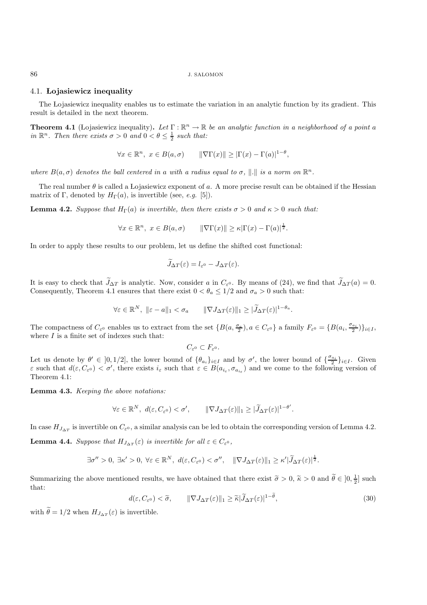#### 4.1. **Lojasiewicz inequality**

The Lojasiewicz inequality enables us to estimate the variation in an analytic function by its gradient. This result is detailed in the next theorem.

**Theorem 4.1** (Lojasiewicz inequality). Let  $\Gamma : \mathbb{R}^n \to \mathbb{R}$  be an analytic function in a neighborhood of a point a *in*  $\mathbb{R}^n$ . Then there exists  $\sigma > 0$  and  $0 < \theta \leq \frac{1}{2}$  such that:

$$
\forall x \in \mathbb{R}^n, \ x \in B(a, \sigma) \qquad \|\nabla \Gamma(x)\| \ge |\Gamma(x) - \Gamma(a)|^{1-\theta},
$$

*where*  $B(a, \sigma)$  *denotes the ball centered in a with a radius equal to*  $\sigma$ ,  $\|\cdot\|$  *is a norm on*  $\mathbb{R}^n$ .

The real number  $\theta$  is called a Lojasiewicz exponent of a. A more precise result can be obtained if the Hessian matrix of Γ, denoted by  $H_{\Gamma}(a)$ , is invertible (see, *e.g.* [5]).

**Lemma 4.2.** *Suppose that*  $H_{\Gamma}(a)$  *is invertible, then there exists*  $\sigma > 0$  *and*  $\kappa > 0$  *such that:* 

$$
\forall x \in \mathbb{R}^n, \ x \in B(a, \sigma) \qquad \|\nabla \Gamma(x)\| \ge \kappa |\Gamma(x) - \Gamma(a)|^{\frac{1}{2}}.
$$

In order to apply these results to our problem, let us define the shifted cost functional:

$$
\widetilde{J}_{\Delta T}(\varepsilon) = l_{\varepsilon^0} - J_{\Delta T}(\varepsilon).
$$

It is easy to check that  $J_{\Delta T}$  is analytic. Now, consider a in  $C_{\varepsilon^0}$ . By means of (24), we find that  $J_{\Delta T}(a) = 0$ . Consequently, Theorem 4.1 ensures that there exist  $0 < \theta_a \leq 1/2$  and  $\sigma_a > 0$  such that:

$$
\forall \varepsilon \in \mathbb{R}^N, \ \|\varepsilon - a\|_1 < \sigma_a \qquad \|\nabla J_{\Delta T}(\varepsilon)\|_1 \geq |\widetilde{J}_{\Delta T}(\varepsilon)|^{1 - \theta_a}.
$$

The compactness of  $C_{\varepsilon}$  enables us to extract from the set  $\{B(a, \frac{\sigma_a}{2}), a \in C_{\varepsilon} \}$  a family  $F_{\varepsilon}$ <sup>0</sup> =  $\{B(a_i, \frac{\sigma_{a_i}}{2})\}_{i \in I}$ , where  $I$  is a finite set of indexes such that:

$$
C_{\varepsilon^0}\subset F_{\varepsilon^0}.
$$

Let us denote by  $\theta' \in [0, 1/2]$ , the lower bound of  $\{\theta_{a_i}\}_{i\in I}$  and by  $\sigma'$ , the lower bound of  $\{\frac{\sigma_{a_i}}{2}\}_{i\in I}$ . Given  $\varepsilon$  such that  $d(\varepsilon, C_{\varepsilon^0}) < \sigma'$ , there exists  $i_{\varepsilon}$  such that  $\varepsilon \in B(a_{i_{\varepsilon}}, \sigma_{a_{i_{\varepsilon}}})$  and we come to the following version of Theorem 4.1:

**Lemma 4.3.** *Keeping the above notations:*

$$
\forall \varepsilon \in \mathbb{R}^N, \ d(\varepsilon, C_{\varepsilon^0}) < \sigma', \qquad \|\nabla J_{\Delta T}(\varepsilon)\|_1 \geq |\widetilde{J}_{\Delta T}(\varepsilon)|^{1-\theta'}.
$$

In case  $H_{J_{\Delta T}}$  is invertible on  $C_{\varepsilon^0}$ , a similar analysis can be led to obtain the corresponding version of Lemma 4.2.

**Lemma 4.4.** *Suppose that*  $H_{J_{\Delta T}}(\varepsilon)$  *is invertible for all*  $\varepsilon \in C_{\varepsilon^0}$ *,* 

$$
\exists \sigma'' > 0, \ \exists \kappa' > 0, \ \forall \varepsilon \in \mathbb{R}^N, \ d(\varepsilon, C_{\varepsilon^0}) < \sigma'', \quad \|\nabla J_{\Delta T}(\varepsilon)\|_1 \geq \kappa' |\widetilde{J}_{\Delta T}(\varepsilon)|^{\frac{1}{2}}.
$$

Summarizing the above mentioned results, we have obtained that there exist  $\tilde{\sigma} > 0$ ,  $\tilde{\kappa} > 0$  and  $\tilde{\theta} \in ]0, \frac{1}{2}]$  such that:

$$
d(\varepsilon, C_{\varepsilon^0}) < \widetilde{\sigma}, \qquad \|\nabla J_{\Delta T}(\varepsilon)\|_1 \ge \widetilde{\kappa} |\widetilde{J}_{\Delta T}(\varepsilon)|^{1-\widetilde{\theta}}, \tag{30}
$$

with  $\theta = 1/2$  when  $H_{J_{\Delta T}}(\varepsilon)$  is invertible.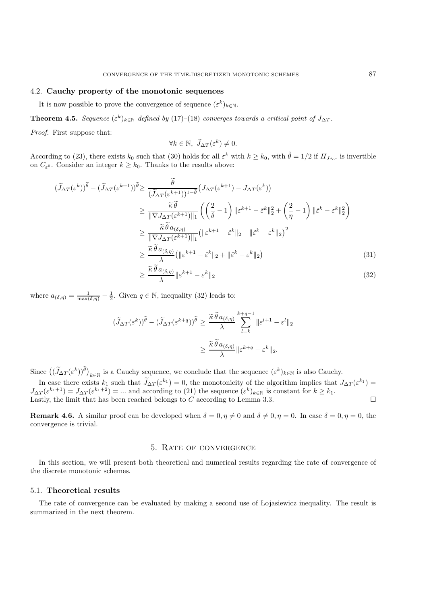# 4.2. **Cauchy property of the monotonic sequences**

It is now possible to prove the convergence of sequence  $(\varepsilon^k)_{k\in\mathbb{N}}$ .

**Theorem 4.5.** *Sequence*  $(\varepsilon^k)_{k \in \mathbb{N}}$  *defined by* (17)–(18) *converges towards a critical point of*  $J_{\Delta T}$ *.* 

*Proof.* First suppose that:

$$
\forall k \in \mathbb{N}, \ \widetilde{J}_{\Delta T}(\varepsilon^k) \neq 0.
$$

According to (23), there exists  $k_0$  such that (30) holds for all  $\varepsilon^k$  with  $k \ge k_0$ , with  $\tilde{\theta} = 1/2$  if  $H_{J_{\Delta T}}$  is invertible on  $C_{\varepsilon}$ <sup>0</sup>. Consider an integer  $k \geq k_0$ . Thanks to the results above:

$$
(\widetilde{J}_{\Delta T}(\varepsilon^{k}))^{\widetilde{\theta}} - (\widetilde{J}_{\Delta T}(\varepsilon^{k+1}))^{\widetilde{\theta}} \geq \frac{\widetilde{\theta}}{(\widetilde{J}_{\Delta T}(\varepsilon^{k+1}))^{1-\widetilde{\theta}}}(J_{\Delta T}(\varepsilon^{k+1}) - J_{\Delta T}(\varepsilon^{k}))
$$
  
\n
$$
\geq \frac{\widetilde{\kappa}\widetilde{\theta}}{\|\nabla J_{\Delta T}(\varepsilon^{k+1})\|_{1}} \left( \left(\frac{2}{\delta} - 1\right) \|\varepsilon^{k+1} - \widetilde{\varepsilon}^{k}\|_{2}^{2} + \left(\frac{2}{\eta} - 1\right) \|\varepsilon^{k} - \varepsilon^{k}\|_{2}^{2} \right)
$$
  
\n
$$
\geq \frac{\widetilde{\kappa}\widetilde{\theta} a_{(\delta,\eta)}}{\|\nabla J_{\Delta T}(\varepsilon^{k+1})\|_{1}} \left( \|\varepsilon^{k+1} - \widetilde{\varepsilon}^{k}\|_{2} + \|\widetilde{\varepsilon}^{k} - \varepsilon^{k}\|_{2} \right)^{2}
$$
  
\n
$$
\geq \frac{\widetilde{\kappa}\widetilde{\theta} a_{(\delta,\eta)}}{\lambda} \left( \|\varepsilon^{k+1} - \widetilde{\varepsilon}^{k}\|_{2} + \|\widetilde{\varepsilon}^{k} - \varepsilon^{k}\|_{2} \right)
$$
  
\n
$$
\geq \frac{\widetilde{\kappa}\widetilde{\theta} a_{(\delta,\eta)}}{\lambda} \|\varepsilon^{k+1} - \varepsilon^{k}\|_{2}
$$
  
\n(31)

where  $a_{(\delta,\eta)} = \frac{1}{\max(\delta,\eta)} - \frac{1}{2}$ . Given  $q \in \mathbb{N}$ , inequality (32) leads to:

$$
\begin{aligned} (\widetilde{J}_{\Delta T}(\varepsilon^k))^{\widetilde{\theta}} - (\widetilde{J}_{\Delta T}(\varepsilon^{k+q}))^{\widetilde{\theta}} &\geq \frac{\widetilde{\kappa}\,\widetilde{\theta}\,a_{(\delta,\eta)}}{\lambda} \sum_{l=k}^{k+q-1}\|\varepsilon^{l+1} - \varepsilon^l\|_2 \\ &\geq \frac{\widetilde{\kappa}\,\widetilde{\theta}\,a_{(\delta,\eta)}}{\lambda} \|\varepsilon^{k+q} - \varepsilon^k\|_2. \end{aligned}
$$

Since  $(\left(\widetilde{J}_{\Delta T}(\varepsilon^k)\right)^{\widetilde{\theta}})_{k\in\mathbb{N}}$  is a Cauchy sequence, we conclude that the sequence  $(\varepsilon^k)_{k\in\mathbb{N}}$  is also Cauchy.

In case there exists  $k_1$  such that  $J_{\Delta T}(\varepsilon^{k_1}) = 0$ , the monotonicity of the algorithm implies that  $J_{\Delta T}(\varepsilon^{k_1}) =$  $J_{\Delta T}(\varepsilon^{k_1+1}) = J_{\Delta T}(\varepsilon^{k_1+2}) = ...$  and according to (21) the sequence  $(\varepsilon^k)_{k \in \mathbb{N}}$  is constant for  $k \geq k_1$ . Lastly, the limit that has been reached belongs to C according to Lemma 3.3.

**Remark 4.6.** A similar proof can be developed when  $\delta = 0, \eta \neq 0$  and  $\delta \neq 0, \eta = 0$ . In case  $\delta = 0, \eta = 0$ , the convergence is trivial.

#### 5. Rate of convergence

In this section, we will present both theoretical and numerical results regarding the rate of convergence of the discrete monotonic schemes.

#### 5.1. **Theoretical results**

The rate of convergence can be evaluated by making a second use of Lojasiewicz inequality. The result is summarized in the next theorem.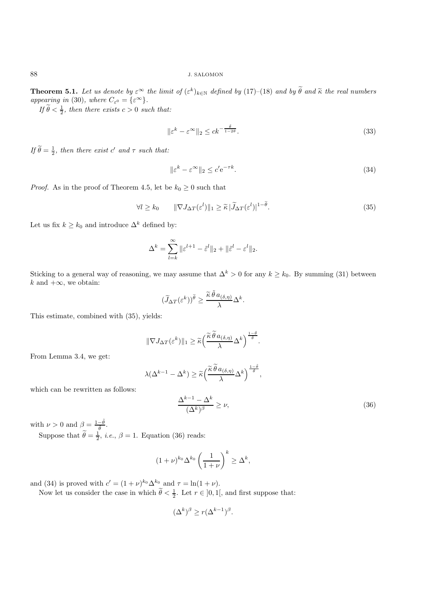**Theorem 5.1.** *Let us denote by*  $\varepsilon^{\infty}$  *the limit of*  $(\varepsilon^k)_{k \in \mathbb{N}}$  *defined by* (17)–(18) *and by*  $\theta$  *and*  $\tilde{\kappa}$  *the real numbers appearing in* (30)*, where*  $C_{\varepsilon^{0}} = \{ \varepsilon^{\infty} \}.$ 

*If*  $\widetilde{\theta} < \frac{1}{2}$ *, then there exists*  $c > 0$  *such that:* 

$$
\|\varepsilon^k - \varepsilon^\infty\|_2 \le ck^{-\frac{\bar{\theta}}{1 - 2\bar{\theta}}}.\tag{33}
$$

*If*  $\widetilde{\theta} = \frac{1}{2}$ *, then there exist* c' and  $\tau$  *such that:* 

$$
\|\varepsilon^k - \varepsilon^\infty\|_2 \le c' \mathrm{e}^{-\tau k}.\tag{34}
$$

*Proof.* As in the proof of Theorem 4.5, let be  $k_0 \geq 0$  such that

$$
\forall l \ge k_0 \qquad \|\nabla J_{\Delta T}(\varepsilon^l)\|_1 \ge \tilde{\kappa} \, |\widetilde{J}_{\Delta T}(\varepsilon^l)|^{1-\tilde{\theta}}.\tag{35}
$$

Let us fix  $k \geq k_0$  and introduce  $\Delta^k$  defined by:

$$
\Delta^k = \sum_{l=k}^{\infty} \|\varepsilon^{l+1} - \tilde{\varepsilon}^l\|_2 + \|\tilde{\varepsilon}^l - \varepsilon^l\|_2.
$$

Sticking to a general way of reasoning, we may assume that  $\Delta^k > 0$  for any  $k \geq k_0$ . By summing (31) between k and  $+\infty$ , we obtain:

$$
(\widetilde{J}_{\Delta T}(\varepsilon^k))^{\widetilde{\theta}} \ge \frac{{\widetilde{\kappa}}\,{\widetilde{\theta}}\,a_{(\delta,\eta)}}{\lambda}\Delta^k.
$$

This estimate, combined with (35), yields:

$$
\|\nabla J_{\Delta T}(\varepsilon^k)\|_1 \geq \widetilde{\kappa} \left(\frac{\widetilde{\kappa}\,\widetilde{\theta}\,a_{(\delta,\eta)}}{\lambda}\Delta^k\right)^{\frac{1-\delta}{\delta}}.
$$

From Lemma 3.4, we get:

$$
\lambda(\Delta^{k-1} - \Delta^k) \ge \widetilde{\kappa} \left( \frac{\widetilde{\kappa} \widetilde{\theta} a_{(\delta,\eta)}}{\lambda} \Delta^k \right)^{\frac{1-\widetilde{\theta}}{\widetilde{\theta}}},
$$

which can be rewritten as follows:

$$
\frac{\Delta^{k-1} - \Delta^k}{(\Delta^k)^\beta} \ge \nu,\tag{36}
$$

with  $\nu > 0$  and  $\beta = \frac{1-\tilde{\theta}}{\tilde{\theta}}$  $\frac{-\theta}{\tilde{\theta}}.$ 

Suppose that  $\tilde{\theta} = \frac{1}{2}$ , *i.e.*,  $\beta = 1$ . Equation (36) reads:

$$
(1+\nu)^{k_0} \Delta^{k_0} \left(\frac{1}{1+\nu}\right)^k \ge \Delta^k,
$$

and (34) is proved with  $c' = (1 + \nu)^{k_0} \Delta^{k_0}$  and  $\tau = \ln(1 + \nu)$ .

Now let us consider the case in which  $\tilde{\theta} < \frac{1}{2}$ . Let  $r \in ]0,1[$ , and first suppose that:

$$
(\Delta^k)^{\beta} \ge r(\Delta^{k-1})^{\beta}.
$$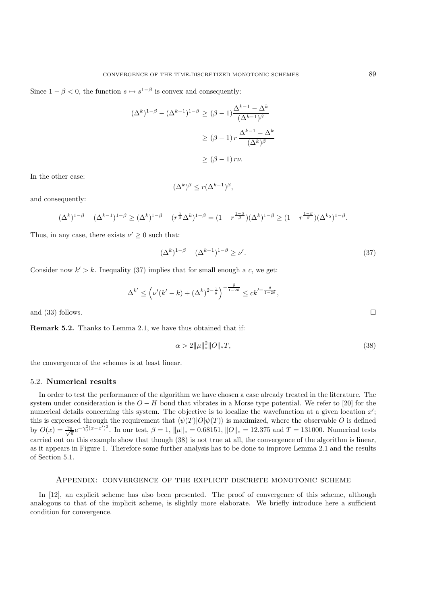Since  $1 - \beta < 0$ , the function  $s \mapsto s^{1-\beta}$  is convex and consequently:

$$
(\Delta^k)^{1-\beta} - (\Delta^{k-1})^{1-\beta} \ge (\beta - 1) \frac{\Delta^{k-1} - \Delta^k}{(\Delta^{k-1})^{\beta}}
$$

$$
\ge (\beta - 1) r \frac{\Delta^{k-1} - \Delta^k}{(\Delta^k)^{\beta}}
$$

$$
\ge (\beta - 1) r\nu.
$$

In the other case:

$$
(\Delta^k)^\beta \le r (\Delta^{k-1})^\beta,
$$

and consequently:

$$
(\Delta^k)^{1-\beta} - (\Delta^{k-1})^{1-\beta} \geq (\Delta^k)^{1-\beta} - (r^{\frac{1}{\beta}} \Delta^k)^{1-\beta} = (1 - r^{\frac{1-\beta}{\beta}}) (\Delta^k)^{1-\beta} \geq (1 - r^{\frac{1-\beta}{\beta}}) (\Delta^{k_0})^{1-\beta}.
$$

Thus, in any case, there exists  $\nu' \geq 0$  such that:

$$
(\Delta^k)^{1-\beta} - (\Delta^{k-1})^{1-\beta} \ge \nu'.\tag{37}
$$

Consider now  $k' > k$ . Inequality (37) implies that for small enough a c, we get:

$$
\Delta^{k'} \le \left(\nu'(k'-k) + (\Delta^k)^{2-\frac{1}{\theta}}\right)^{-\frac{\tilde{\theta}}{1-2\theta}} \le ck'^{-\frac{\tilde{\theta}}{1-2\tilde{\theta}}},
$$

and  $(33)$  follows.

**Remark 5.2.** Thanks to Lemma 2.1, we have thus obtained that if:

$$
\alpha > 2\|\mu\|_{\ast}^2 \|O\|_{\ast} T,\tag{38}
$$

the convergence of the schemes is at least linear.

#### 5.2. **Numerical results**

In order to test the performance of the algorithm we have chosen a case already treated in the literature. The system under consideration is the  $O - H$  bond that vibrates in a Morse type potential. We refer to [20] for the numerical details concerning this system. The objective is to localize the wavefunction at a given location x'; this is expressed through the requirement that  $\langle \psi(T) | O | \psi(T) \rangle$  is maximized, where the observable O is defined by  $O(x) = \frac{\gamma_0}{\sqrt{\pi}} e^{-\gamma_0^2 (x - x')^2}$ . In our test,  $\beta = 1$ ,  $\|\mu\|_* = 0.68151$ ,  $||O||_* = 12.375$  and  $T = 131000$ . Numerical tests carried out on this example show that though (38) is not true at all, the convergence of the algorithm is linear, as it appears in Figure 1. Therefore some further analysis has to be done to improve Lemma 2.1 and the results of Section 5.1.

#### Appendix: convergence of the explicit discrete monotonic scheme

In [12], an explicit scheme has also been presented. The proof of convergence of this scheme, although analogous to that of the implicit scheme, is slightly more elaborate. We briefly introduce here a sufficient condition for convergence.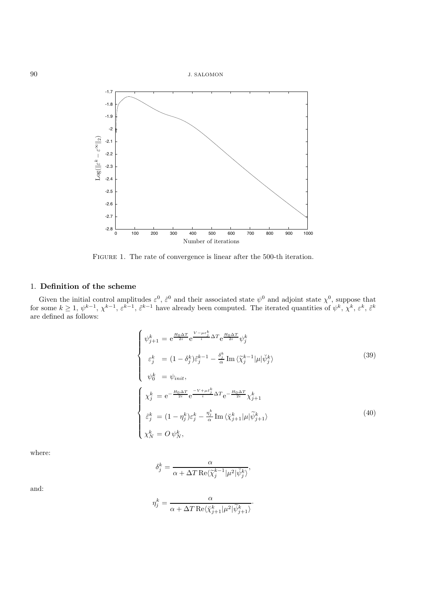



FIGURE 1. The rate of convergence is linear after the 500-th iteration.

## 1. **Definition of the scheme**

Given the initial control amplitudes  $\varepsilon^0$ ,  $\tilde{\varepsilon}^0$  and their associated state  $\psi^0$  and adjoint state  $\chi^0$ , suppose that for some  $k \geq 1$ ,  $\psi^{k-1}$ ,  $\chi^{k-1}$ ,  $\varepsilon^{k-1}$ ,  $\varepsilon^{k-1}$  have already been computed. The iterated quantities of  $\psi^k$ ,  $\chi^k$ ,  $\varepsilon^k$ ,  $\varepsilon^k$ , are defined as follows:

$$
\begin{cases}\n\psi_{j+1}^{k} = e^{\frac{H_{0}\Delta T}{2i}} e^{\frac{V-\mu\varepsilon_{j}^{k}}{i}\Delta T} e^{\frac{H_{0}\Delta T}{2i}} \psi_{j}^{k} \\
\varepsilon_{j}^{k} = (1 - \delta_{j}^{k}) \tilde{\varepsilon}_{j}^{k-1} - \frac{\delta_{j}^{k}}{\alpha} \operatorname{Im} \langle \tilde{\chi}_{j}^{k-1} | \mu | \check{\psi}_{j}^{k} \rangle \\
\psi_{0}^{k} = \psi_{init}, \\
\chi_{j}^{k} = e^{-\frac{H_{0}\Delta T}{2i}} e^{-\frac{V+\mu\varepsilon_{j}^{k}}{i}\Delta T} e^{-\frac{H_{0}\Delta T}{2i}} \chi_{j+1}^{k} \\
\hat{\varepsilon}_{j}^{k} = (1 - \eta_{j}^{k}) \varepsilon_{j}^{k} - \frac{\eta_{j}^{k}}{\alpha} \operatorname{Im} \langle \check{\chi}_{j+1}^{k} | \mu | \tilde{\psi}_{j+1}^{k} \rangle \\
\chi_{N}^{k} = O \psi_{N}^{k},\n\end{cases}
$$
\n(40)

·

where:

$$
\delta_j^k = \frac{\alpha}{\alpha + \Delta T \operatorname{Re} \langle \tilde{\chi}_j^{k-1} | \mu^2 | \check{\psi}_j^k \rangle},
$$

and:

$$
\eta_j^k = \frac{\alpha}{\alpha + \Delta T \operatorname{Re} \langle \breve{\chi}_{j+1}^k | \mu^2 | \widetilde{\psi}_{j+1}^k \rangle}
$$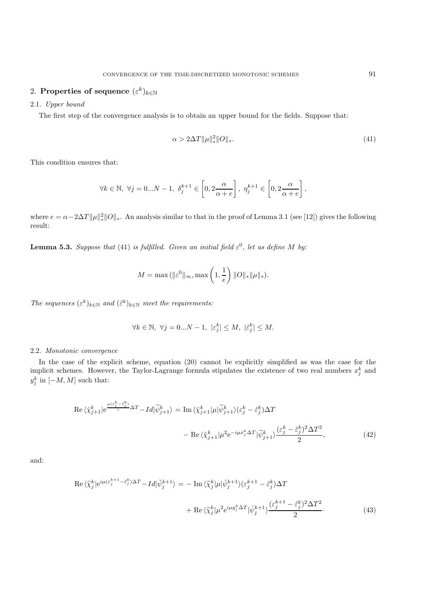# 2. **Properties of sequence**  $(\varepsilon^k)_{k \in \mathbb{N}}$

#### 2.1. *Upper bound*

The first step of the convergence analysis is to obtain an upper bound for the fields. Suppose that:

$$
\alpha > 2\Delta T \|\mu\|_{*}^{2} \|O\|_{*}.
$$
\n(41)

This condition ensures that:

$$
\forall k \in \mathbb{N}, \ \forall j = 0...N-1, \ \delta_j^{k+1} \in \left[0, 2\frac{\alpha}{\alpha+e}\right], \ \eta_j^{k+1} \in \left[0, 2\frac{\alpha}{\alpha+e}\right],
$$

where  $e = \alpha - 2\Delta T \|\mu\|_*^2 \|O\|_*$ . An analysis similar to that in the proof of Lemma 3.1 (see [12]) gives the following result:

**Lemma 5.3.** *Suppose that* (41) *is fulfilled. Given an initial field*  $\varepsilon^0$ *, let us define* M *by:* 

$$
M = \max (||\varepsilon^{0}||_{\infty}, \max\left(1, \frac{1}{e}\right) ||O||_{*} ||\mu||_{*}).
$$

*The sequences*  $(\varepsilon^k)_{k \in \mathbb{N}}$  *and*  $(\tilde{\varepsilon}^k)_{k \in \mathbb{N}}$  *meet the requirements:* 

$$
\forall k \in \mathbb{N}, \ \forall j = 0...N - 1, \ |\varepsilon_j^k| \le M, \ |\tilde{\varepsilon}_j^k| \le M.
$$

#### 2.2. *Monotonic convergence*

In the case of the explicit scheme, equation (20) cannot be explicitly simplified as was the case for the implicit schemes. However, the Taylor-Lagrange formula stipulates the existence of two real numbers  $x_j^k$  and  $y_j^k$  in  $[-M, M]$  such that:

$$
\operatorname{Re}\langle \chi_{j+1}^{k} | e^{\frac{\mu(\varepsilon_{j}^{k} - \tilde{\varepsilon}_{j}^{k})}{i}\Delta T} - Id | \tilde{\psi}_{j+1}^{k} \rangle = \operatorname{Im}\langle \chi_{j+1}^{k} | \mu | \tilde{\psi}_{j+1}^{k} \rangle (\varepsilon_{j}^{k} - \tilde{\varepsilon}_{j}^{k}) \Delta T \n- \operatorname{Re}\langle \chi_{j+1}^{k} | \mu^{2} e^{-i\mu x_{j}^{k}\Delta T} | \tilde{\psi}_{j+1}^{k} \rangle \frac{(\varepsilon_{j}^{k} - \tilde{\varepsilon}_{j}^{k})^{2} \Delta T^{2}}{2},
$$
\n(42)

and:

$$
\operatorname{Re}\langle \widetilde{\chi}_{j}^{k} | e^{i\mu(\varepsilon_{j}^{k+1}-\widetilde{\varepsilon}_{j}^{k})\Delta T} - Id | \widetilde{\psi}_{j}^{k+1} \rangle = - \operatorname{Im}\langle \widetilde{\chi}_{j}^{k} | \mu | \widetilde{\psi}_{j}^{k+1} \rangle (\varepsilon_{j}^{k+1}-\widetilde{\varepsilon}_{j}^{k}) \Delta T + \operatorname{Re}\langle \widetilde{\chi}_{j}^{k} | \mu^{2} e^{i\mu y_{j}^{k}\Delta T} | \widetilde{\psi}_{j}^{k+1} \rangle \frac{(\varepsilon_{j}^{k+1}-\widetilde{\varepsilon}_{j}^{k})^{2} \Delta T^{2}}{2}.
$$
\n(43)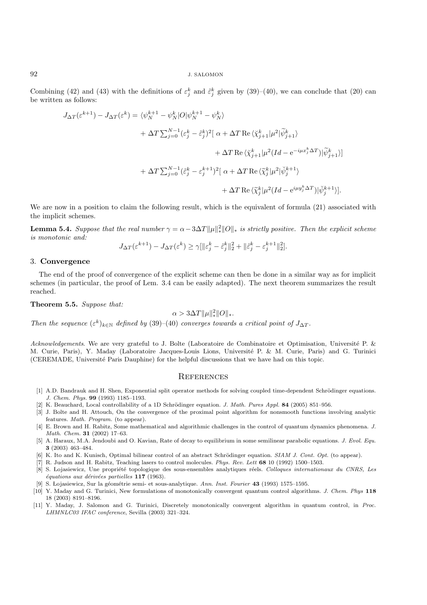Combining (42) and (43) with the definitions of  $\varepsilon_j^k$  and  $\tilde{\varepsilon}_j^k$  given by (39)–(40), we can conclude that (20) can be written as follows:

$$
J_{\Delta T}(\varepsilon^{k+1}) - J_{\Delta T}(\varepsilon^k) = \langle \psi_N^{k+1} - \psi_N^k | O | \psi_N^{k+1} - \psi_N^k \rangle
$$
  
+ 
$$
\Delta T \sum_{j=0}^{N-1} (\varepsilon_j^k - \tilde{\varepsilon}_j^k)^2 \left[ \alpha + \Delta T \operatorname{Re} \langle \chi_{j+1}^k | \mu^2 | \tilde{\psi}_{j+1}^k \rangle \right.
$$
  
+ 
$$
\Delta T \operatorname{Re} \langle \chi_{j+1}^k | \mu^2 (Id - e^{-i\mu x_j^k \Delta T}) | \tilde{\psi}_{j+1}^k \rangle ]
$$
  
+ 
$$
\Delta T \sum_{j=0}^{N-1} (\tilde{\varepsilon}_j^k - \varepsilon_j^{k+1})^2 \left[ \alpha + \Delta T \operatorname{Re} \langle \tilde{\chi}_j^k | \mu^2 | \tilde{\psi}_j^{k+1} \rangle \right.
$$
  
+ 
$$
\Delta T \operatorname{Re} \langle \tilde{\chi}_j^k | \mu^2 (Id - e^{i\mu y_j^k \Delta T}) | \check{\psi}_j^{k+1} \rangle ].
$$

We are now in a position to claim the following result, which is the equivalent of formula  $(21)$  associated with the implicit schemes.

**Lemma 5.4.** *Suppose that the real number*  $\gamma = \alpha - 3\Delta T \|\mu\|_*^2 \|O\|_*$  *is strictly positive. Then the explicit scheme is monotonic and:*

$$
J_{\Delta T}(\varepsilon^{k+1}) - J_{\Delta T}(\varepsilon^k) \geq \gamma [\| \varepsilon_j^k - \hat \varepsilon_j^k \|_2^2 + \| \hat \varepsilon_j^k - \varepsilon_j^{k+1} \|_2^2].
$$

#### 3. **Convergence**

The end of the proof of convergence of the explicit scheme can then be done in a similar way as for implicit schemes (in particular, the proof of Lem. 3.4 can be easily adapted). The next theorem summarizes the result reached.

**Theorem 5.5.** *Suppose that:*

 $\alpha > 3\Delta T \|\mu\|_*^2 \|O\|_*.$ 

*Then the sequence*  $(\varepsilon^k)_{k \in \mathbb{N}}$  *defined by* (39)–(40) *converges towards a critical point of*  $J_{\Delta T}$ *.* 

*Acknowledgements*. We are very grateful to J. Bolte (Laboratoire de Combinatoire et Optimisation, Université P. & M. Curie, Paris), Y. Maday (Laboratoire Jacques-Louis Lions, Université P. & M. Curie, Paris) and G. Turinici (CEREMADE, Université Paris Dauphine) for the helpful discussions that we have had on this topic.

#### **REFERENCES**

- [1] A.D. Bandrauk and H. Shen, Exponential split operator methods for solving coupled time-dependent Schrödinger equations. *J. Chem. Phys.* **99** (1993) 1185–1193.
- [2] K. Beauchard, Local controllability of a 1D Schrödinger equation. *J. Math. Pures Appl.* **84** (2005) 851–956.
- [3] J. Bolte and H. Attouch, On the convergence of the proximal point algorithm for nonsmooth functions involving analytic features. *Math. Program.* (to appear).
- [4] E. Brown and H. Rabitz, Some mathematical and algorithmic challenges in the control of quantum dynamics phenomena. *J. Math. Chem.* **31** (2002) 17–63.
- [5] A. Haraux, M.A. Jendoubi and O. Kavian, Rate of decay to equilibrium in some semilinear parabolic equations. *J. Evol. Equ.* **3** (2003) 463–484.
- [6] K. Ito and K. Kunisch, Optimal bilinear control of an abstract Schrödinger equation. *SIAM J. Cont. Opt.* (to appear).
- [7] R. Judson and H. Rabitz, Teaching lasers to control molecules. *Phys. Rev. Lett* **68** 10 (1992) 1500–1503.
- [8] S. Lojasiewicz, Une propriété topologique des sous-ensembles analytiques réels. *Colloques internationaux du CNRS, Les*  $équations aux dérivées partielles 117 (1963).$
- [9] S. Lojasiewicz, Sur la g´eom´etrie semi- et sous-analytique. *Ann. Inst. Fourier* **43** (1993) 1575–1595.
- [10] Y. Maday and G. Turinici, New formulations of monotonically convergent quantum control algorithms. *J. Chem. Phys* **118** 18 (2003) 8191–8196.
- [11] Y. Maday, J. Salomon and G. Turinici, Discretely monotonically convergent algorithm in quantum control, in *Proc. LHMNLC03 IFAC conference*, Sevilla (2003) 321–324.